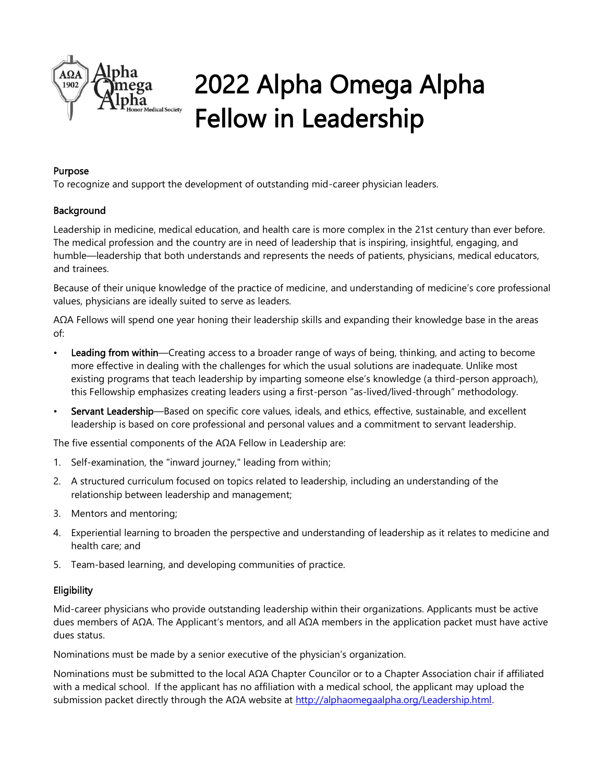

# 2022 Alpha Omega Alpha Fellow in Leadership

#### Purpose

To recognize and support the development of outstanding mid-career physician leaders.

### Background

Leadership in medicine, medical education, and health care is more complex in the 21st century than ever before. The medical profession and the country are in need of leadership that is inspiring, insightful, engaging, and humble—leadership that both understands and represents the needs of patients, physicians, medical educators, and trainees.

Because of their unique knowledge of the practice of medicine, and understanding of medicine's core professional values, physicians are ideally suited to serve as leaders.

AΩA Fellows will spend one year honing their leadership skills and expanding their knowledge base in the areas of:

- Leading from within—Creating access to a broader range of ways of being, thinking, and acting to become more effective in dealing with the challenges for which the usual solutions are inadequate. Unlike most existing programs that teach leadership by imparting someone else's knowledge (a third-person approach), this Fellowship emphasizes creating leaders using a first-person "as-lived/lived-through" methodology.
- Servant Leadership—Based on specific core values, ideals, and ethics, effective, sustainable, and excellent leadership is based on core professional and personal values and a commitment to servant leadership.

The five essential components of the AΩA Fellow in Leadership are:

- 1. Self-examination, the "inward journey," leading from within;
- 2. A structured curriculum focused on topics related to leadership, including an understanding of the relationship between leadership and management;
- 3. Mentors and mentoring;
- 4. Experiential learning to broaden the perspective and understanding of leadership as it relates to medicine and health care; and
- 5. Team-based learning, and developing communities of practice.

### **Eligibility**

Mid-career physicians who provide outstanding leadership within their organizations. Applicants must be active dues members of AΩA. The Applicant's mentors, and all AΩA members in the application packet must have active dues status.

Nominations must be made by a senior executive of the physician's organization.

Nominations must be submitted to the local AΩA Chapter Councilor or to a Chapter Association chair if affiliated with a medical school. If the applicant has no affiliation with a medical school, the applicant may upload the submission packet directly through the AΩA website at [http://alphaomegaalpha.org/Leadership.html.](http://alphaomegaalpha.org/Leadership.html)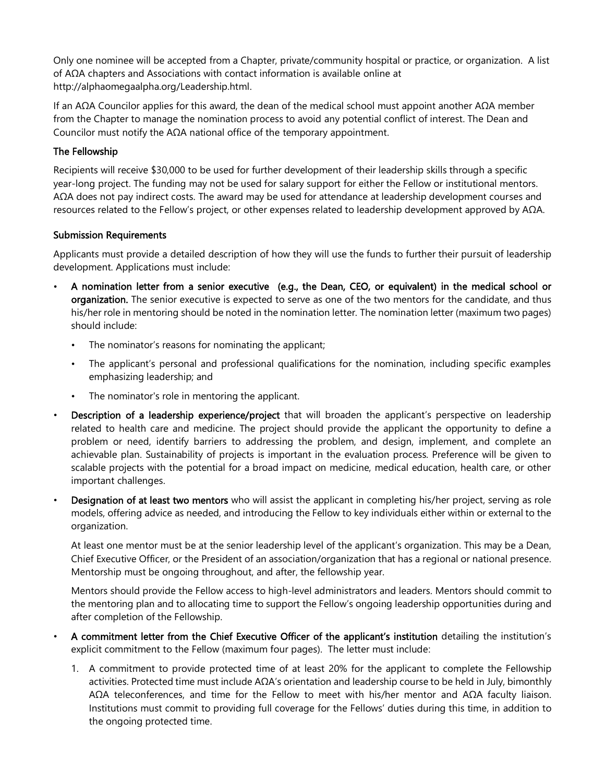Only one nominee will be accepted from a Chapter, private/community hospital or practice, or organization. A list of AΩA chapters and Associations with contact information is available online at http://alphaomegaalpha.org/Leadership.html.

If an AΩA Councilor applies for this award, the dean of the medical school must appoint another AΩA member from the Chapter to manage the nomination process to avoid any potential conflict of interest. The Dean and Councilor must notify the AΩA national office of the temporary appointment.

#### The Fellowship

Recipients will receive \$30,000 to be used for further development of their leadership skills through a specific year-long project. The funding may not be used for salary support for either the Fellow or institutional mentors. AΩA does not pay indirect costs. The award may be used for attendance at leadership development courses and resources related to the Fellow's project, or other expenses related to leadership development approved by AΩA.

#### Submission Requirements

Applicants must provide a detailed description of how they will use the funds to further their pursuit of leadership development. Applications must include:

- A nomination letter from a senior executive (e.g., the Dean, CEO, or equivalent) in the medical school or organization. The senior executive is expected to serve as one of the two mentors for the candidate, and thus his/her role in mentoring should be noted in the nomination letter. The nomination letter (maximum two pages) should include:
	- The nominator's reasons for nominating the applicant;
	- The applicant's personal and professional qualifications for the nomination, including specific examples emphasizing leadership; and
	- The nominator's role in mentoring the applicant.
- Description of a leadership experience/project that will broaden the applicant's perspective on leadership related to health care and medicine. The project should provide the applicant the opportunity to define a problem or need, identify barriers to addressing the problem, and design, implement, and complete an achievable plan. Sustainability of projects is important in the evaluation process. Preference will be given to scalable projects with the potential for a broad impact on medicine, medical education, health care, or other important challenges.
- Designation of at least two mentors who will assist the applicant in completing his/her project, serving as role models, offering advice as needed, and introducing the Fellow to key individuals either within or external to the organization.

 At least one mentor must be at the senior leadership level of the applicant's organization. This may be a Dean, Chief Executive Officer, or the President of an association/organization that has a regional or national presence. Mentorship must be ongoing throughout, and after, the fellowship year.

Mentors should provide the Fellow access to high-level administrators and leaders. Mentors should commit to the mentoring plan and to allocating time to support the Fellow's ongoing leadership opportunities during and after completion of the Fellowship.

- A commitment letter from the Chief Executive Officer of the applicant's institution detailing the institution's explicit commitment to the Fellow (maximum four pages). The letter must include:
	- 1. A commitment to provide protected time of at least 20% for the applicant to complete the Fellowship activities. Protected time must include AΩA's orientation and leadership course to be held in July, bimonthly AΩA teleconferences, and time for the Fellow to meet with his/her mentor and AΩA faculty liaison. Institutions must commit to providing full coverage for the Fellows' duties during this time, in addition to the ongoing protected time.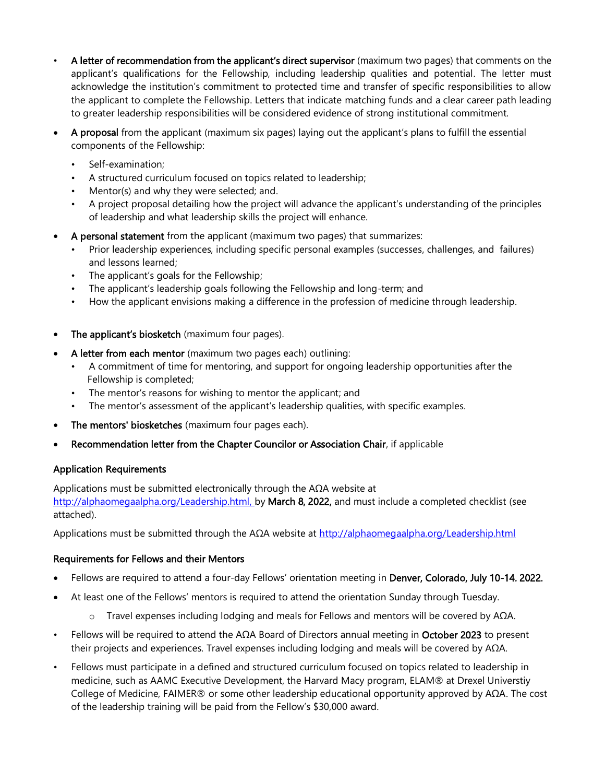- A letter of recommendation from the applicant's direct supervisor (maximum two pages) that comments on the applicant's qualifications for the Fellowship, including leadership qualities and potential. The letter must acknowledge the institution's commitment to protected time and transfer of specific responsibilities to allow the applicant to complete the Fellowship. Letters that indicate matching funds and a clear career path leading to greater leadership responsibilities will be considered evidence of strong institutional commitment.
- A proposal from the applicant (maximum six pages) laying out the applicant's plans to fulfill the essential components of the Fellowship:
	- Self-examination;
	- A structured curriculum focused on topics related to leadership;
	- Mentor(s) and why they were selected; and.
	- A project proposal detailing how the project will advance the applicant's understanding of the principles of leadership and what leadership skills the project will enhance.
- A personal statement from the applicant (maximum two pages) that summarizes:
	- Prior leadership experiences, including specific personal examples (successes, challenges, and failures) and lessons learned;
	- The applicant's goals for the Fellowship;
	- The applicant's leadership goals following the Fellowship and long-term; and
	- How the applicant envisions making a difference in the profession of medicine through leadership.
- The applicant's biosketch (maximum four pages).
- A letter from each mentor (maximum two pages each) outlining:
	- A commitment of time for mentoring, and support for ongoing leadership opportunities after the Fellowship is completed;
	- The mentor's reasons for wishing to mentor the applicant; and
	- The mentor's assessment of the applicant's leadership qualities, with specific examples.
- The mentors' biosketches (maximum four pages each).
- Recommendation letter from the Chapter Councilor or Association Chair, if applicable

### Application Requirements

Applications must be submitted electronically through the AΩA website at [http://alphaomegaalpha.org/Leadership.html,](http://alphaomegaalpha.org/Leadership.html) by March 8, 2022, and must include a completed checklist (see attached).

Applications must be submitted through the AΩA website at <http://alphaomegaalpha.org/Leadership.html>

#### Requirements for Fellows and their Mentors

- Fellows are required to attend a four-day Fellows' orientation meeting in Denver, Colorado, July 10-14. 2022.
- At least one of the Fellows' mentors is required to attend the orientation Sunday through Tuesday.
	- o Travel expenses including lodging and meals for Fellows and mentors will be covered by AΩA.
- Fellows will be required to attend the AΩA Board of Directors annual meeting in October 2023 to present their projects and experiences. Travel expenses including lodging and meals will be covered by AΩA.
- Fellows must participate in a defined and structured curriculum focused on topics related to leadership in medicine, such as AAMC Executive Development, the Harvard Macy program, ELAM® at Drexel Universtiy College of Medicine, FAIMER® or some other leadership educational opportunity approved by AΩA. The cost of the leadership training will be paid from the Fellow's \$30,000 award.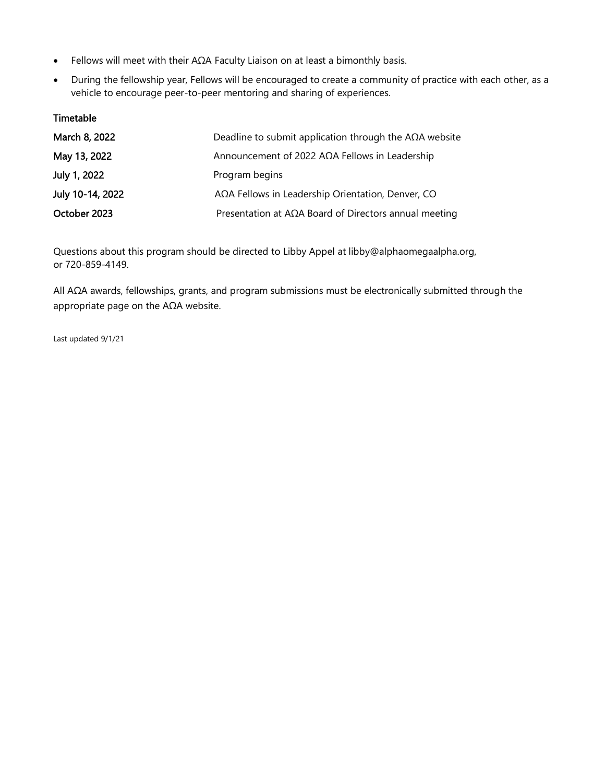- Fellows will meet with their AΩA Faculty Liaison on at least a bimonthly basis.
- During the fellowship year, Fellows will be encouraged to create a community of practice with each other, as a vehicle to encourage peer-to-peer mentoring and sharing of experiences.

#### Timetable

| March 8, 2022    | Deadline to submit application through the $A\Omega A$ website |
|------------------|----------------------------------------------------------------|
| May 13, 2022     | Announcement of 2022 AΩA Fellows in Leadership                 |
| July 1, 2022     | Program begins                                                 |
| July 10-14, 2022 | AΩA Fellows in Leadership Orientation, Denver, CO              |
| October 2023     | Presentation at $A\Omega A$ Board of Directors annual meeting  |

Questions about this program should be directed to Libby Appel at libby@alphaomegaalpha.org, or 720-859-4149.

All AΩA awards, fellowships, grants, and program submissions must be electronically submitted through the appropriate page on the AΩA website.

Last updated 9/1/21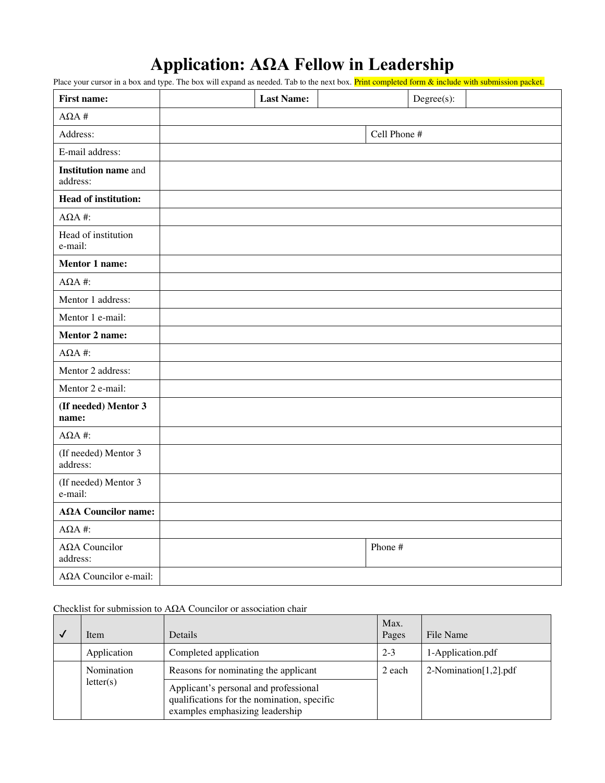## **Application: AΩA Fellow in Leadership**

Place your cursor in a box and type. The box will expand as needed. Tab to the next box. Print completed form & include with submission packet.

| <b>First name:</b>                      |              | <b>Last Name:</b> |  |         | $Degree(s)$ : |  |
|-----------------------------------------|--------------|-------------------|--|---------|---------------|--|
| $\mathbf{A}\Omega\mathbf{A}$ #          |              |                   |  |         |               |  |
| Address:                                | Cell Phone # |                   |  |         |               |  |
| E-mail address:                         |              |                   |  |         |               |  |
| <b>Institution name and</b><br>address: |              |                   |  |         |               |  |
| <b>Head of institution:</b>             |              |                   |  |         |               |  |
| $A\Omega A$ #:                          |              |                   |  |         |               |  |
| Head of institution<br>e-mail:          |              |                   |  |         |               |  |
| Mentor 1 name:                          |              |                   |  |         |               |  |
| $A\Omega A$ #:                          |              |                   |  |         |               |  |
| Mentor 1 address:                       |              |                   |  |         |               |  |
| Mentor 1 e-mail:                        |              |                   |  |         |               |  |
| Mentor 2 name:                          |              |                   |  |         |               |  |
| $A\Omega A$ #:                          |              |                   |  |         |               |  |
| Mentor 2 address:                       |              |                   |  |         |               |  |
| Mentor 2 e-mail:                        |              |                   |  |         |               |  |
| (If needed) Mentor 3<br>name:           |              |                   |  |         |               |  |
| $A\Omega A$ #:                          |              |                   |  |         |               |  |
| (If needed) Mentor 3<br>address:        |              |                   |  |         |               |  |
| (If needed) Mentor 3<br>e-mail:         |              |                   |  |         |               |  |
| $A\Omega A$ Councilor name:             |              |                   |  |         |               |  |
| $A\Omega A$ #:                          |              |                   |  |         |               |  |
| ΑΩΑ Councilor<br>address:               |              |                   |  | Phone # |               |  |
| AΩA Councilor e-mail:                   |              |                   |  |         |               |  |

#### Checklist for submission to AΩA Councilor or association chair

|                         | Item        | <b>Details</b>                                                                                                          | Max.<br>Pages | File Name             |
|-------------------------|-------------|-------------------------------------------------------------------------------------------------------------------------|---------------|-----------------------|
|                         | Application | Completed application                                                                                                   | $2 - 3$       | 1-Application.pdf     |
| Nomination<br>letter(s) |             | Reasons for nominating the applicant                                                                                    | 2 each        | 2-Nomination[1,2].pdf |
|                         |             | Applicant's personal and professional<br>qualifications for the nomination, specific<br>examples emphasizing leadership |               |                       |